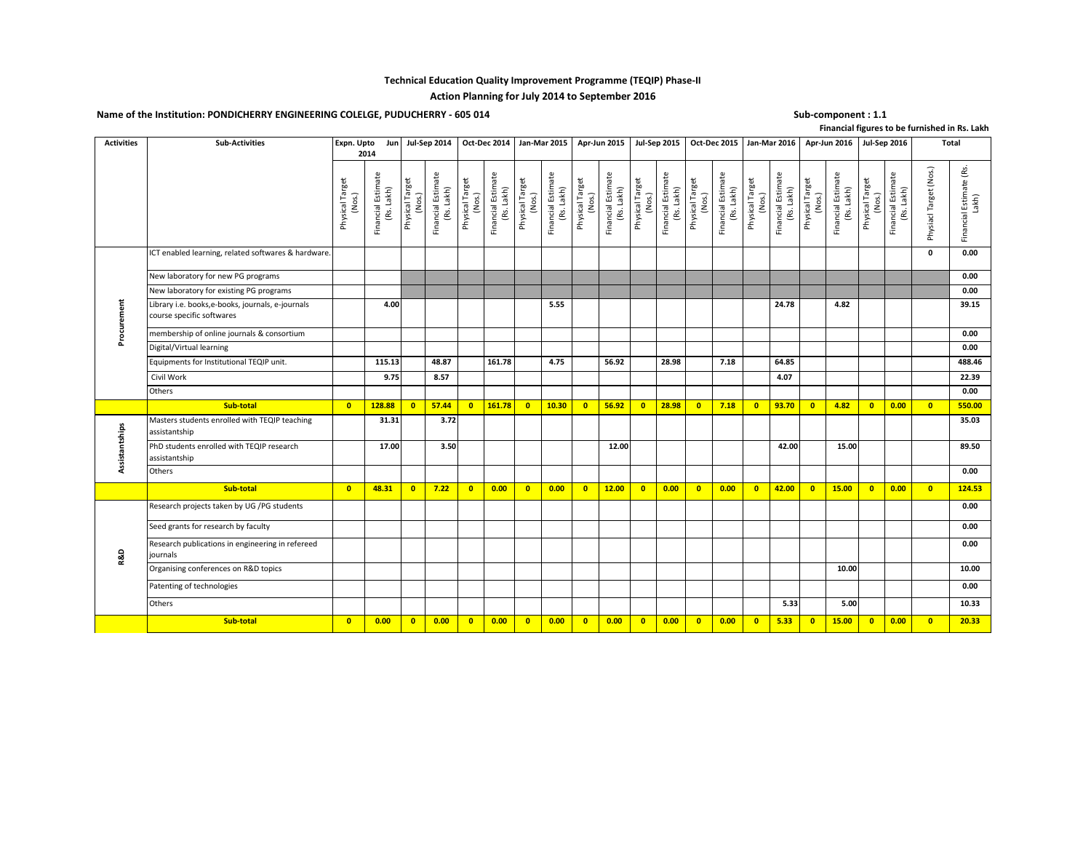### **Technical Education Quality Improvement Programme (TEQIP) Phase-II**

# **Action Planning for July 2014 to September 2016**

# Name of the Institution: PONDICHERRY ENGINEERING COLELGE, PUDUCHERRY - 605 014 Sub-component : 1.1 Sub-component : 1.1

**Financial figures to be furnished in Rs. Lakh**

| <b>Activities</b> | <b>Sub-Activities</b>                                                         | Expn. Upto                | 2014                             |                           | Jun   Jul-Sep 2014   Oct-Dec 2014   Jan-Mar 2015   Apr-Jun 2015   Jul-Sep 2015   Oct-Dec 2015   Jan-Mar 2016   Apr-Jun 2016   Jul-Sep 2016 |                           |                                  |                           |                                  |                           |                                  |                           |                                  |                           |                                  |                           |                                  |                           |                                  |                           |                                     |                        | Total                            |
|-------------------|-------------------------------------------------------------------------------|---------------------------|----------------------------------|---------------------------|--------------------------------------------------------------------------------------------------------------------------------------------|---------------------------|----------------------------------|---------------------------|----------------------------------|---------------------------|----------------------------------|---------------------------|----------------------------------|---------------------------|----------------------------------|---------------------------|----------------------------------|---------------------------|----------------------------------|---------------------------|-------------------------------------|------------------------|----------------------------------|
|                   |                                                                               | Physical Target<br>(Nos.) | Financial Estimate<br>(Rs. Lakh) | Physical Target<br>(Nos.) | Financial Estimate<br>(Rs. Lakh)                                                                                                           | Physical Target<br>(Nos.) | Financial Estimate<br>(Rs. Lakh) | Physical Target<br>(Nos.) | Financial Estimate<br>(Rs. Lakh) | Physical Target<br>(Nos.) | Financial Estimate<br>(Rs. Lakh) | Physical Target<br>(Nos.) | Financial Estimate<br>(Rs. Lakh) | Physical Target<br>(Nos.) | Financial Estimate<br>(Rs. Lakh) | Physical Target<br>(Nos.) | Financial Estimate<br>(Rs. Lakh) | Physical Target<br>(Nos.) | Financial Estimate<br>(Rs. Lakh) | Physical Target<br>(Nos.) | Financial Estimate<br>Lakh)<br>(Rs. | Physiacl Target (Nos.) | Financial Estimate (Rs.<br>Lakh) |
|                   | ICT enabled learning, related softwares & hardware.                           |                           |                                  |                           |                                                                                                                                            |                           |                                  |                           |                                  |                           |                                  |                           |                                  |                           |                                  |                           |                                  |                           |                                  |                           |                                     | $\mathbf{0}$           | 0.00                             |
|                   | New laboratory for new PG programs                                            |                           |                                  |                           |                                                                                                                                            |                           |                                  |                           |                                  |                           |                                  |                           |                                  |                           |                                  |                           |                                  |                           |                                  |                           |                                     |                        | 0.00                             |
|                   | New laboratory for existing PG programs                                       |                           |                                  |                           |                                                                                                                                            |                           |                                  |                           |                                  |                           |                                  |                           |                                  |                           |                                  |                           |                                  |                           |                                  |                           |                                     |                        | 0.00                             |
| Procurement       | Library i.e. books,e-books, journals, e-journals<br>course specific softwares |                           | 4.00                             |                           |                                                                                                                                            |                           |                                  |                           | 5.55                             |                           |                                  |                           |                                  |                           |                                  |                           | 24.78                            |                           | 4.82                             |                           |                                     |                        | 39.15                            |
|                   | membership of online journals & consortium                                    |                           |                                  |                           |                                                                                                                                            |                           |                                  |                           |                                  |                           |                                  |                           |                                  |                           |                                  |                           |                                  |                           |                                  |                           |                                     |                        | 0.00                             |
|                   | Digital/Virtual learning                                                      |                           |                                  |                           |                                                                                                                                            |                           |                                  |                           |                                  |                           |                                  |                           |                                  |                           |                                  |                           |                                  |                           |                                  |                           |                                     |                        | 0.00                             |
|                   | Equipments for Institutional TEQIP unit.                                      |                           | 115.13                           |                           | 48.87                                                                                                                                      |                           | 161.78                           |                           | 4.75                             |                           | 56.92                            |                           | 28.98                            |                           | 7.18                             |                           | 64.85                            |                           |                                  |                           |                                     |                        | 488.46                           |
|                   | Civil Work                                                                    |                           | 9.75                             |                           | 8.57                                                                                                                                       |                           |                                  |                           |                                  |                           |                                  |                           |                                  |                           |                                  |                           | 4.07                             |                           |                                  |                           |                                     |                        | 22.39                            |
|                   | Others                                                                        |                           |                                  |                           |                                                                                                                                            |                           |                                  |                           |                                  |                           |                                  |                           |                                  |                           |                                  |                           |                                  |                           |                                  |                           |                                     |                        | 0.00                             |
|                   | Sub-total                                                                     | $\overline{0}$            | 128.88                           | $\overline{\mathbf{0}}$   | 57.44                                                                                                                                      | $\overline{0}$            | 161.78                           | $\bullet$                 | 10.30                            | $\overline{0}$            | 56.92                            | $\overline{0}$            | 28.98                            | $\overline{0}$            | 7.18                             | $\overline{0}$            | 93.70                            | $\overline{0}$            | 4.82                             | $\overline{0}$            | 0.00                                | $\bullet$              | 550.00                           |
|                   | Masters students enrolled with TEQIP teaching                                 |                           | 31.31                            |                           | 3.72                                                                                                                                       |                           |                                  |                           |                                  |                           |                                  |                           |                                  |                           |                                  |                           |                                  |                           |                                  |                           |                                     |                        | 35.03                            |
|                   | assistantship                                                                 |                           |                                  |                           |                                                                                                                                            |                           |                                  |                           |                                  |                           |                                  |                           |                                  |                           |                                  |                           |                                  |                           |                                  |                           |                                     |                        |                                  |
|                   | PhD students enrolled with TEQIP research<br>assistantship                    |                           | 17.00                            |                           | 3.50                                                                                                                                       |                           |                                  |                           |                                  |                           | 12.00                            |                           |                                  |                           |                                  |                           | 42.00                            |                           | 15.00                            |                           |                                     |                        | 89.50                            |
| Assistantships    | Others                                                                        |                           |                                  |                           |                                                                                                                                            |                           |                                  |                           |                                  |                           |                                  |                           |                                  |                           |                                  |                           |                                  |                           |                                  |                           |                                     |                        | 0.00                             |
|                   | Sub-total                                                                     | $\overline{0}$            | 48.31                            | $\overline{\mathbf{0}}$   | 7.22                                                                                                                                       | $\overline{0}$            | 0.00                             | $\overline{0}$            | 0.00                             | $\overline{0}$            | 12.00                            | $\overline{\mathbf{0}}$   | 0.00                             | $\overline{0}$            | 0.00                             | $\overline{\mathbf{0}}$   | 42.00                            | $\overline{\mathbf{0}}$   | 15.00                            | $\overline{0}$            | 0.00                                | $\bullet$              | 124.53                           |
|                   | Research projects taken by UG /PG students                                    |                           |                                  |                           |                                                                                                                                            |                           |                                  |                           |                                  |                           |                                  |                           |                                  |                           |                                  |                           |                                  |                           |                                  |                           |                                     |                        | 0.00                             |
|                   | Seed grants for research by faculty                                           |                           |                                  |                           |                                                                                                                                            |                           |                                  |                           |                                  |                           |                                  |                           |                                  |                           |                                  |                           |                                  |                           |                                  |                           |                                     |                        | 0.00                             |
|                   | Research publications in engineering in refereed                              |                           |                                  |                           |                                                                                                                                            |                           |                                  |                           |                                  |                           |                                  |                           |                                  |                           |                                  |                           |                                  |                           |                                  |                           |                                     |                        | 0.00                             |
|                   | journals                                                                      |                           |                                  |                           |                                                                                                                                            |                           |                                  |                           |                                  |                           |                                  |                           |                                  |                           |                                  |                           |                                  |                           |                                  |                           |                                     |                        |                                  |
| <b>R&amp;D</b>    | Organising conferences on R&D topics                                          |                           |                                  |                           |                                                                                                                                            |                           |                                  |                           |                                  |                           |                                  |                           |                                  |                           |                                  |                           |                                  |                           | 10.00                            |                           |                                     |                        | 10.00                            |
|                   | Patenting of technologies                                                     |                           |                                  |                           |                                                                                                                                            |                           |                                  |                           |                                  |                           |                                  |                           |                                  |                           |                                  |                           |                                  |                           |                                  |                           |                                     |                        | 0.00                             |
|                   | Others                                                                        |                           |                                  |                           |                                                                                                                                            |                           |                                  |                           |                                  |                           |                                  |                           |                                  |                           |                                  |                           | 5.33                             |                           | 5.00                             |                           |                                     |                        | 10.33                            |